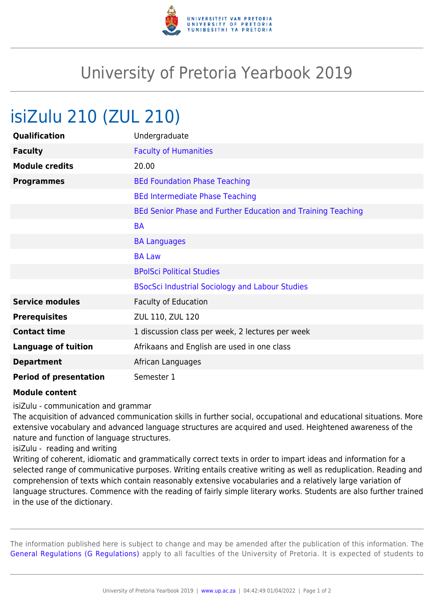

## University of Pretoria Yearbook 2019

## isiZulu 210 (ZUL 210)

| Qualification                 | Undergraduate                                                |
|-------------------------------|--------------------------------------------------------------|
| <b>Faculty</b>                | <b>Faculty of Humanities</b>                                 |
| <b>Module credits</b>         | 20.00                                                        |
| <b>Programmes</b>             | <b>BEd Foundation Phase Teaching</b>                         |
|                               | <b>BEd Intermediate Phase Teaching</b>                       |
|                               | BEd Senior Phase and Further Education and Training Teaching |
|                               | <b>BA</b>                                                    |
|                               | <b>BA Languages</b>                                          |
|                               | <b>BA Law</b>                                                |
|                               | <b>BPolSci Political Studies</b>                             |
|                               | <b>BSocSci Industrial Sociology and Labour Studies</b>       |
| <b>Service modules</b>        | <b>Faculty of Education</b>                                  |
| <b>Prerequisites</b>          | ZUL 110, ZUL 120                                             |
| <b>Contact time</b>           | 1 discussion class per week, 2 lectures per week             |
| <b>Language of tuition</b>    | Afrikaans and English are used in one class                  |
| <b>Department</b>             | African Languages                                            |
| <b>Period of presentation</b> | Semester 1                                                   |

## **Module content**

isiZulu - communication and grammar

The acquisition of advanced communication skills in further social, occupational and educational situations. More extensive vocabulary and advanced language structures are acquired and used. Heightened awareness of the nature and function of language structures.

isiZulu - reading and writing

Writing of coherent, idiomatic and grammatically correct texts in order to impart ideas and information for a selected range of communicative purposes. Writing entails creative writing as well as reduplication. Reading and comprehension of texts which contain reasonably extensive vocabularies and a relatively large variation of language structures. Commence with the reading of fairly simple literary works. Students are also further trained in the use of the dictionary.

The information published here is subject to change and may be amended after the publication of this information. The [General Regulations \(G Regulations\)](https://www.up.ac.za/parents/yearbooks/2019/rules/view/REG) apply to all faculties of the University of Pretoria. It is expected of students to